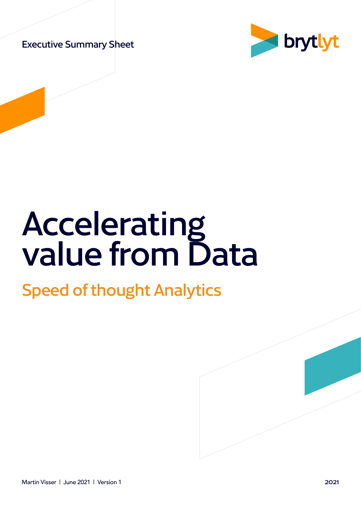Executive Summary Sheet



# Accelerating value from Data

### Speed of thought Analytics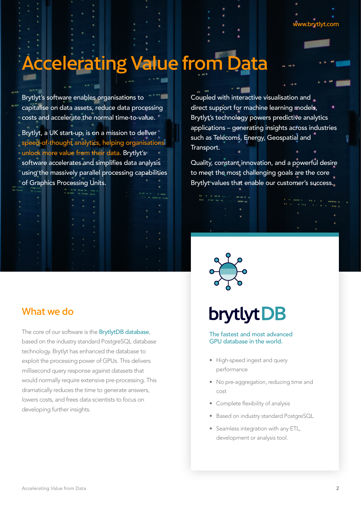## Accelerating Value from Data

Brytlyt's software enables organisations to capitalise on data assets, reduce data processing costs and accelerate the normal time-to-value.

Brytlyt, a UK start-up, is on a mission to deliver speed-of-thought analytics, helping organisations unlock more value from their data. Brytlyt's software accelerates and simplifies data analysis using the massively parallel processing capabilities of Graphics Processing Units.

#### What we do

The core of our software is the **BrytlytDB database**, based on the industry standard PostgreSQL database technology. Brytlyt has enhanced the database to exploit the processing power of GPUs. This delivers millisecond query response against datasets that would normally require extensive pre-processing. This dramatically reduces the time to generate answers, lowers costs, and frees data scientists to focus on developing further insights.

Coupled with interactive visualisation and direct support for machine learning models, Brytlyt's technology powers predictive analytics applications – generating insights across industries such as Telecoms, Energy, Geospatial and Transport.

Quality, constant innovation, and a powerful desire to meet the most challenging goals are the core Brytlyt values that enable our customer's success.

## **brytlyt DB**

The fastest and most advanced GPU database in the world.

- High-speed ingest and query performance
- No pre-aggregation, reducing time and cost
- Complete flexibility of analysis
- Based on industry standard PostgreSQL
- Seamless integration with any ETL, development or analysis tool.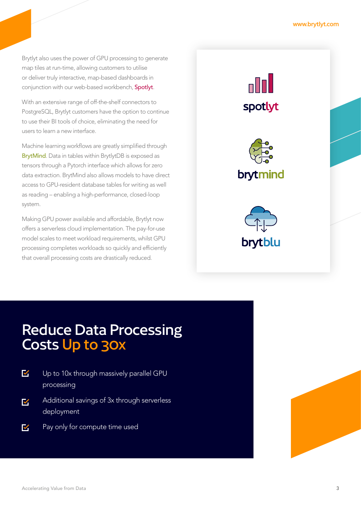Brytlyt also uses the power of GPU processing to generate map tiles at run-time, allowing customers to utilise or deliver truly interactive, map-based dashboards in conjunction with our web-based workbench, Spotlyt.

With an extensive range of off-the-shelf connectors to PostgreSQL, Brytlyt customers have the option to continue to use their BI tools of choice, eliminating the need for users to learn a new interface.

Machine learning workflows are greatly simplified through BrytMind. Data in tables within BrytlytDB is exposed as tensors through a Pytorch interface which allows for zero data extraction. BrytMind also allows models to have direct access to GPU-resident database tables for writing as well as reading – enabling a high-performance, closed-loop system.

Making GPU power available and affordable, Brytlyt now offers a serverless cloud implementation. The pay-for-use model scales to meet workload requirements, whilst GPU processing completes workloads so quickly and efficiently that overall processing costs are drastically reduced.

n Doll spotlyt





### Reduce Data Processing Costs Up to 30x

- $\blacktriangledown$ Up to 10x through massively parallel GPU processing
- Additional savings of 3x through serverless  $\overline{\mathbf{v}}$ deployment
- $\overline{\mathsf{v}}$ Pay only for compute time used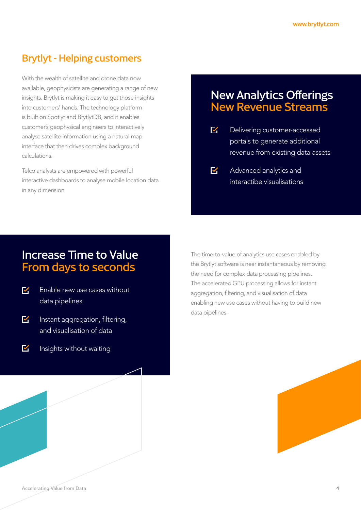#### Brytlyt - Helping customers

With the wealth of satellite and drone data now available, geophysicists are generating a range of new insights. Brytlyt is making it easy to get those insights into customers' hands. The technology platform is built on Spotlyt and BrytlytDB, and it enables customer's geophysical engineers to interactively analyse satellite information using a natural map interface that then drives complex background calculations.

Telco analysts are empowered with powerful interactive dashboards to analyse mobile location data in any dimension.

#### New Analytics Offerings New Revenue Streams

- $\overline{\mathsf{M}}$ Delivering customer-accessed portals to generate additional revenue from existing data assets
- $\overline{\mathsf{K}}$ Advanced analytics and interactibe visualisations

#### Increase Time to Value From days to seconds

- Enable new use cases without M data pipelines
- $\blacktriangledown$ Instant aggregation, filtering, and visualisation of data
- $\nabla$ Insights without waiting

The time-to-value of analytics use cases enabled by the Brytlyt software is near instantaneous by removing the need for complex data processing pipelines. The accelerated GPU processing allows for instant aggregation, filtering, and visualisation of data enabling new use cases without having to build new data pipelines.